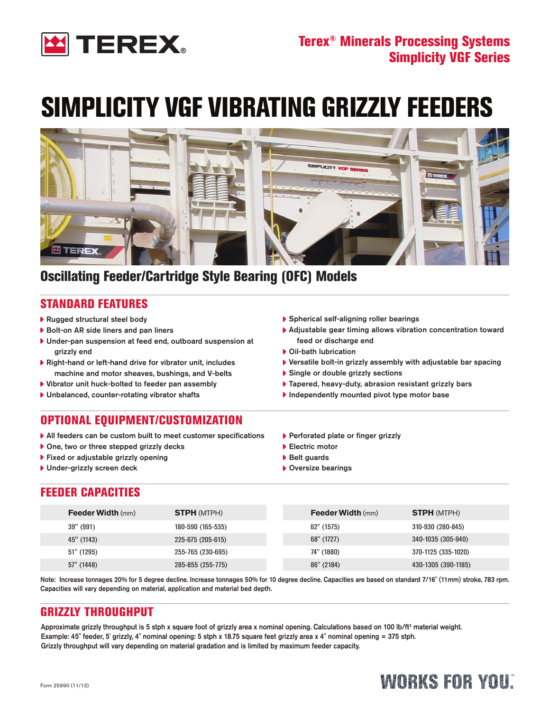

# SIMPLICITY VGF VIBRATING GRIZZLY FEEDERS



### Oscillating Feeder/Cartridge Style Bearing (OFC) Models

### Standard Features

- ▶ Rugged structural steel body
- Bolt-on AR side liners and pan liners
- Under-pan suspension at feed end, outboard suspension at grizzly end
- Right-hand or left-hand drive for vibrator unit, includes machine and motor sheaves, bushings, and V-belts
- Vibrator unit huck-bolted to feeder pan assembly
- Unbalanced, counter-rotating vibrator shafts

### Optional Equipment/CustomiZation

- All feeders can be custom built to meet customer specifications
- ▶ One, two or three stepped grizzly decks
- ▶ Fixed or adjustable grizzly opening
- **Under-grizzly screen deck**
- Spherical self-aligning roller bearings
- Adjustable gear timing allows vibration concentration toward feed or discharge end
- Oil-bath lubrication
- Versatile bolt-in grizzly assembly with adjustable bar spacing
- ▶ Single or double grizzly sections
- ▶ Tapered, heavy-duty, abrasion resistant grizzly bars
- $\blacktriangleright$  Independently mounted pivot type motor base
- ▶ Perforated plate or finger grizzly
- ▶ Electric motor
- ▶ Belt guards
- ▶ Oversize bearings

### FEEDER CAPACITIES

| <b>Feeder Width (mm)</b> | <b>STPH (MTPH)</b> | <b>Feeder Width (mm)</b> | <b>STPH (MTPH)</b>  |
|--------------------------|--------------------|--------------------------|---------------------|
| 39" (991)                | 180-590 (165-535)  | $62"$ (1575)             | 310-930 (280-845)   |
| 45" (1143)               | 225-675 (205-615)  | 68" (1727)               | 340-1035 (305-940)  |
| 51" (1295)               | 255-765 (230-695)  | 74" (1880)               | 370-1125 (335-1020) |
| 57" (1448)               | 285-855 (255-775)  | 86" (2184)               | 430-1305 (390-1185) |

Note: Increase tonnages 20% for 5 degree decline. Increase tonnages 50% for 10 degree decline. Capacities are based on standard 7/16" (11mm) stroke, 783 rpm. Capacities will vary depending on material, application and material bed depth.

### gRIZZLY THROUGHPUT

Approximate grizzly throughput is 5 stph x square foot of grizzly area x nominal opening. Calculations based on 100 lb/ft<sup>3</sup> material weight. Example: 45" feeder, 5' grizzly, 4" nominal opening: 5 stph x 18.75 square feet grizzly area x 4" nominal opening = 375 stph. Grizzly throughput will vary depending on material gradation and is limited by maximum feeder capacity.

## WORKS FOR YOU: